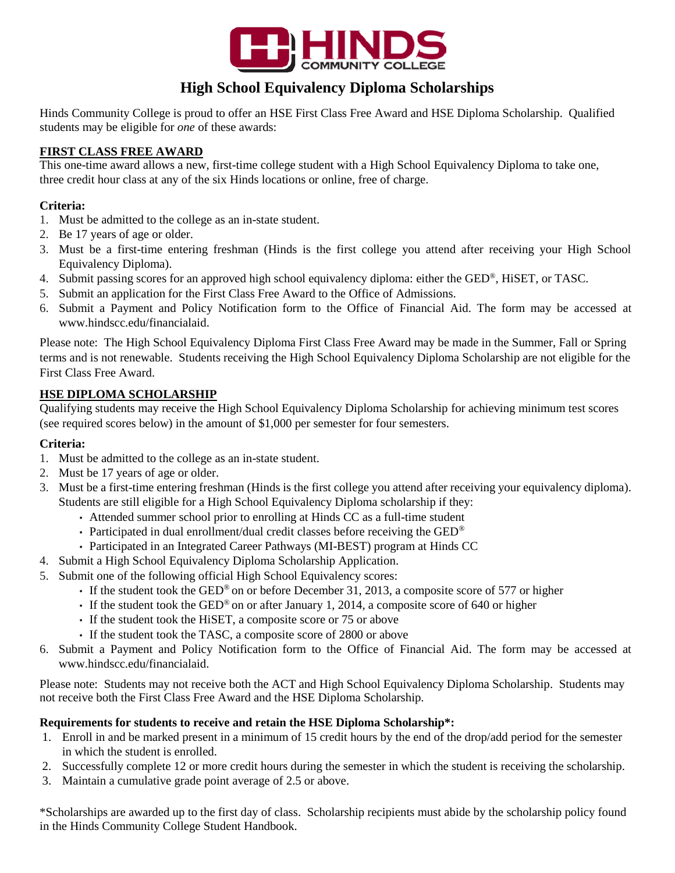

# **High School Equivalency Diploma Scholarships**

Hinds Community College is proud to offer an HSE First Class Free Award and HSE Diploma Scholarship. Qualified students may be eligible for *one* of these awards:

## **FIRST CLASS FREE AWARD**

This one-time award allows a new, first-time college student with a High School Equivalency Diploma to take one, three credit hour class at any of the six Hinds locations or online, free of charge.

### **Criteria:**

- 1. Must be admitted to the college as an in-state student.
- 2. Be 17 years of age or older.
- 3. Must be a first-time entering freshman (Hinds is the first college you attend after receiving your High School Equivalency Diploma).
- 4. Submit passing scores for an approved high school equivalency diploma: either the GED®, HiSET, or TASC.
- 5. Submit an application for the First Class Free Award to the Office of Admissions.
- 6. Submit a Payment and Policy Notification form to the Office of Financial Aid. The form may be accessed at www.hindscc.edu/financialaid.

Please note: The High School Equivalency Diploma First Class Free Award may be made in the Summer, Fall or Spring terms and is not renewable. Students receiving the High School Equivalency Diploma Scholarship are not eligible for the First Class Free Award.

## **HSE DIPLOMA SCHOLARSHIP**

Qualifying students may receive the High School Equivalency Diploma Scholarship for achieving minimum test scores (see required scores below) in the amount of \$1,000 per semester for four semesters.

### **Criteria:**

- 1. Must be admitted to the college as an in-state student.
- 2. Must be 17 years of age or older.
- 3. Must be a first-time entering freshman (Hinds is the first college you attend after receiving your equivalency diploma). Students are still eligible for a High School Equivalency Diploma scholarship if they:
	- Attended summer school prior to enrolling at Hinds CC as a full-time student
	- Participated in dual enrollment/dual credit classes before receiving the GED<sup>®</sup>
	- Participated in an Integrated Career Pathways (MI-BEST) program at Hinds CC
- 4. Submit a High School Equivalency Diploma Scholarship Application.
- 5. Submit one of the following official High School Equivalency scores:
	- If the student took the GED® on or before December 31, 2013, a composite score of 577 or higher
	- If the student took the  $GED^{\circledast}$  on or after January 1, 2014, a composite score of 640 or higher
	- If the student took the HiSET, a composite score or 75 or above
	- If the student took the TASC, a composite score of 2800 or above
- 6. Submit a Payment and Policy Notification form to the Office of Financial Aid. The form may be accessed at www.hindscc.edu/financialaid.

Please note: Students may not receive both the ACT and High School Equivalency Diploma Scholarship. Students may not receive both the First Class Free Award and the HSE Diploma Scholarship.

#### **Requirements for students to receive and retain the HSE Diploma Scholarship\*:**

- 1. Enroll in and be marked present in a minimum of 15 credit hours by the end of the drop/add period for the semester in which the student is enrolled.
- 2. Successfully complete 12 or more credit hours during the semester in which the student is receiving the scholarship.
- 3. Maintain a cumulative grade point average of 2.5 or above.

\*Scholarships are awarded up to the first day of class. Scholarship recipients must abide by the scholarship policy found in the Hinds Community College Student Handbook.